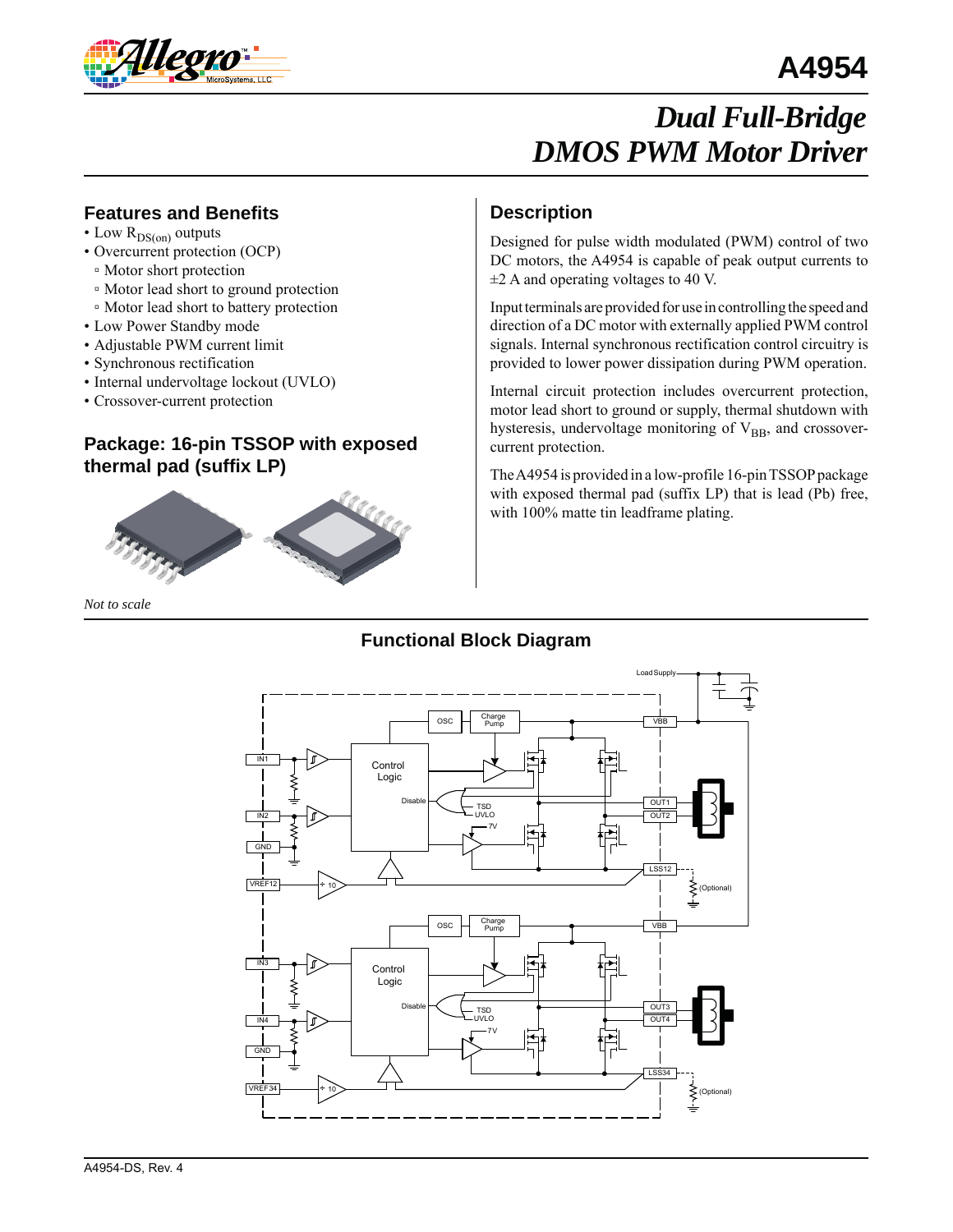

# **A4954**

# *Dual Full-Bridge DMOS PWM Motor Driver*

### **Features and Benefits**

- Low  $R_{DS(on)}$  outputs
- Overcurrent protection (OCP)
- Motor short protection
- Motor lead short to ground protection
- Motor lead short to battery protection
- Low Power Standby mode
- Adjustable PWM current limit
- Synchronous rectification
- Internal undervoltage lockout (UVLO)
- Crossover-current protection

### **Package: 16-pin TSSOP with exposed thermal pad (suffix LP)**



#### *Not to scale*

### **Description**

Designed for pulse width modulated (PWM) control of two DC motors, the A4954 is capable of peak output currents to  $\pm$ 2 A and operating voltages to 40 V.

Input terminals are provided for use in controlling the speed and direction of a DC motor with externally applied PWM control signals. Internal synchronous rectification control circuitry is provided to lower power dissipation during PWM operation.

Internal circuit protection includes overcurrent protection, motor lead short to ground or supply, thermal shutdown with hysteresis, undervoltage monitoring of  $V_{BB}$ , and crossovercurrent protection.

The A4954 is provided in a low-profile 16-pin TSSOP package with exposed thermal pad (suffix LP) that is lead (Pb) free, with 100% matte tin leadframe plating.

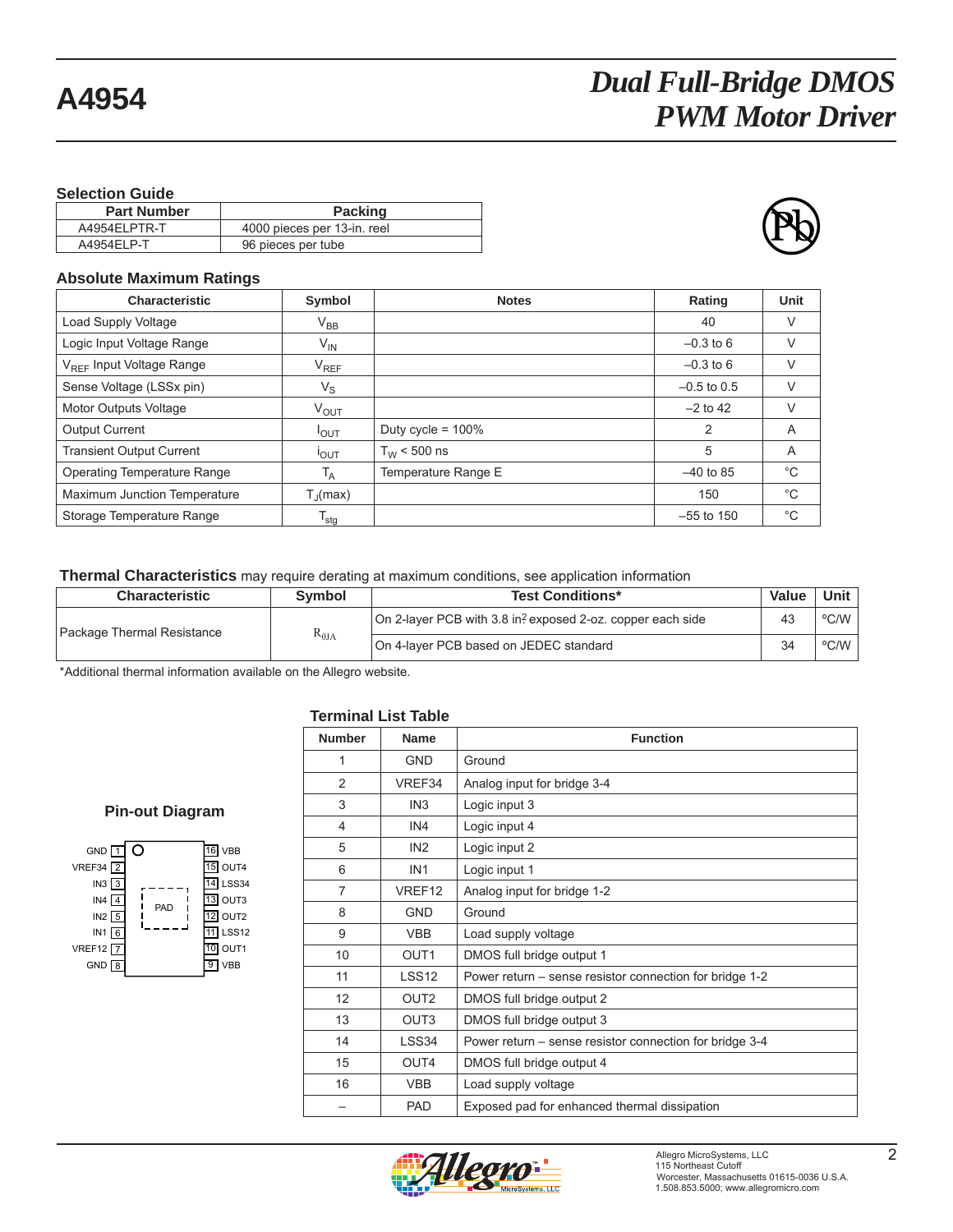#### **Selection Guide**

| <b>Part Number</b> | <b>Packing</b>              |
|--------------------|-----------------------------|
| A4954ELPTR-T       | 4000 pieces per 13-in. reel |
| A4954ELP-T         | 96 pieces per tube          |



#### **Absolute Maximum Ratings**

| <b>Characteristic</b>                | Symbol                | <b>Notes</b>         | Rating        | Unit         |
|--------------------------------------|-----------------------|----------------------|---------------|--------------|
| Load Supply Voltage                  | $V_{BB}$              |                      | 40            | V            |
| Logic Input Voltage Range            | $V_{\mathsf{IN}}$     |                      | $-0.3$ to 6   | V            |
| V <sub>REF</sub> Input Voltage Range | $V_{REF}$             |                      | $-0.3$ to 6   | V            |
| Sense Voltage (LSSx pin)             | $V_S$                 |                      | $-0.5$ to 0.5 | V            |
| Motor Outputs Voltage                | $V_{\text{OUT}}$      |                      | $-2$ to 42    | V            |
| <b>Output Current</b>                | $I_{\text{OUT}}$      | Duty cycle = $100\%$ | 2             | A            |
| <b>Transient Output Current</b>      | I <sub>OUT</sub>      | $T_{W}$ < 500 ns     | 5             | A            |
| Operating Temperature Range          | $T_A$                 | Temperature Range E  | $-40$ to 85   | $^{\circ}C$  |
| Maximum Junction Temperature         | $T_{\parallel}$ (max) |                      | 150           | $^{\circ}C$  |
| Storage Temperature Range            | $T_{\text{stg}}$      |                      | $-55$ to 150  | $^{\circ}$ C |

**Thermal Characteristics** may require derating at maximum conditions, see application information

| <b>Characteristic</b>      | <b>Symbol</b>   | <b>Test Conditions*</b>                                    | Value | Unit                      |
|----------------------------|-----------------|------------------------------------------------------------|-------|---------------------------|
| Package Thermal Resistance | $R_{\theta JA}$ | On 2-layer PCB with 3.8 in? exposed 2-oz. copper each side | 43    | $\rm ^{o}C/W$ i           |
|                            |                 | On 4-layer PCB based on JEDEC standard                     | 34    | $\rm ^{o}$ C/W $\rm _{1}$ |

\*Additional thermal information available on the Allegro website.

#### **Terminal List Table**

#### **Pin-out Diagram**



| <b>Number</b>  | <b>Name</b>      | <b>Function</b>                                         |
|----------------|------------------|---------------------------------------------------------|
| 1              | <b>GND</b>       | Ground                                                  |
| 2              | VREF34           | Analog input for bridge 3-4                             |
| 3              | IN <sub>3</sub>  | Logic input 3                                           |
| $\overline{4}$ | IN4              | Logic input 4                                           |
| 5              | IN <sub>2</sub>  | Logic input 2                                           |
| 6              | IN <sub>1</sub>  | Logic input 1                                           |
| $\overline{7}$ | VREF12           | Analog input for bridge 1-2                             |
| 8              | <b>GND</b>       | Ground                                                  |
| 9              | <b>VBB</b>       | Load supply voltage                                     |
| 10             | OUT <sub>1</sub> | DMOS full bridge output 1                               |
| 11             | <b>LSS12</b>     | Power return – sense resistor connection for bridge 1-2 |
| 12             | OUT <sub>2</sub> | DMOS full bridge output 2                               |
| 13             | OUT <sub>3</sub> | DMOS full bridge output 3                               |
| 14             | LSS34            | Power return – sense resistor connection for bridge 3-4 |
| 15             | OUT4             | DMOS full bridge output 4                               |
| 16             | <b>VBB</b>       | Load supply voltage                                     |
|                | <b>PAD</b>       | Exposed pad for enhanced thermal dissipation            |

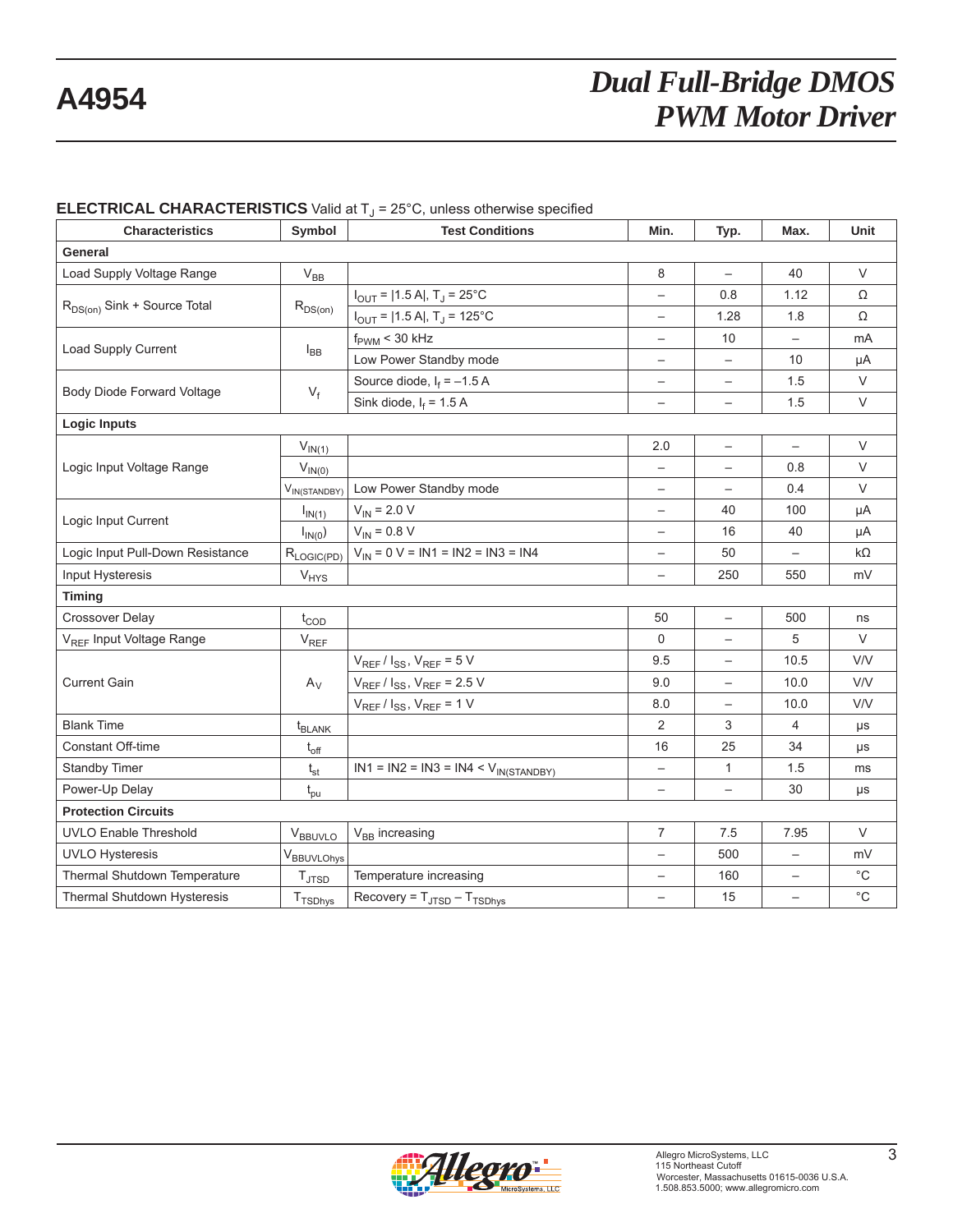| <b>Characteristics</b>                  | Symbol                     | <b>Test Conditions</b>                      | Min.                     | Typ.                     | Max.                     | Unit              |
|-----------------------------------------|----------------------------|---------------------------------------------|--------------------------|--------------------------|--------------------------|-------------------|
| General                                 |                            |                                             |                          |                          |                          |                   |
| Load Supply Voltage Range               | $V_{BB}$                   |                                             | 8                        |                          | 40                       | V                 |
|                                         |                            | $I_{OUT}$ =  1.5 A , T <sub>J</sub> = 25°C  |                          | 0.8                      | 1.12                     | Ω                 |
| R <sub>DS(on)</sub> Sink + Source Total | $R_{DS(on)}$               | $I_{OUT}$ =  1.5 A , T <sub>J</sub> = 125°C | $\overline{\phantom{0}}$ | 1.28                     | 1.8                      | Ω                 |
|                                         |                            | $\rm f_{\rm PWM}$ < 30 kHz                  | $\overline{\phantom{0}}$ | 10                       | $\qquad \qquad -$        | mA                |
| Load Supply Current                     | $I_{BB}$                   | Low Power Standby mode                      |                          |                          | 10                       | μA                |
|                                         |                            | Source diode, $I_f = -1.5 A$                | $\overline{\phantom{m}}$ | $\qquad \qquad -$        | 1.5                      | V                 |
| Body Diode Forward Voltage              | $V_f$                      | Sink diode, $I_f = 1.5 A$                   | $\overline{\phantom{0}}$ | $\overline{\phantom{0}}$ | 1.5                      | $\vee$            |
| <b>Logic Inputs</b>                     |                            |                                             |                          |                          |                          |                   |
|                                         | $V_{IN(1)}$                |                                             | 2.0                      | $\overline{\phantom{m}}$ | $\overline{\phantom{0}}$ | $\vee$            |
| Logic Input Voltage Range               | $V_{IN(0)}$                |                                             |                          |                          | 0.8                      | $\vee$            |
|                                         | V <sub>IN(STANDBY)</sub>   | Low Power Standby mode                      |                          |                          | 0.4                      | V                 |
|                                         | $I_{IN(1)}$                | $V_{IN}$ = 2.0 V                            | $\qquad \qquad -$        | 40                       | 100                      | μA                |
| Logic Input Current                     | $I_{IN(0})$                | $V_{IN} = 0.8 V$                            |                          | 16                       | 40                       | μA                |
| Logic Input Pull-Down Resistance        | $R_{LOGIC(PD)}$            | $V_{IN} = 0 V = IN1 = IN2 = IN3 = IN4$      | $\qquad \qquad -$        | 50                       |                          | $k\Omega$         |
| Input Hysteresis                        | $V_{HYS}$                  |                                             | $\overline{\phantom{0}}$ | 250                      | 550                      | mV                |
| <b>Timing</b>                           |                            |                                             |                          |                          |                          |                   |
| <b>Crossover Delay</b>                  | $t_{\text{COD}}$           |                                             | 50                       | $\overline{\phantom{m}}$ | 500                      | ns                |
| V <sub>REF</sub> Input Voltage Range    | $V_{REF}$                  |                                             | $\Omega$                 | $\qquad \qquad -$        | 5                        | $\vee$            |
|                                         |                            | $V_{REF}$ / $I_{SS}$ , $V_{REF}$ = 5 V      | 9.5                      |                          | 10.5                     | <b>V/V</b>        |
| <b>Current Gain</b>                     | $A_V$                      | $V_{REF}/I_{SS}$ , $V_{REF}$ = 2.5 V        | 9.0                      | $\qquad \qquad -$        | 10.0                     | V/V               |
|                                         |                            | $V_{REF}/I_{SS}$ , $V_{REF}$ = 1 V          | 8.0                      |                          | 10.0                     | <b>V/V</b>        |
| <b>Blank Time</b>                       | $t_{BLANK}$                |                                             | 2                        | 3                        | $\overline{4}$           | μs                |
| <b>Constant Off-time</b>                | $t_{off}$                  |                                             | 16                       | 25                       | 34                       | μs                |
| Standby Timer                           | $t_{st}$                   | $IN1 = IN2 = IN3 = IN4 < V_{IN(STANDBY)}$   | $\qquad \qquad -$        | $\mathbf{1}$             | 1.5                      | ms                |
| Power-Up Delay                          | $t_{\text{pu}}$            |                                             |                          |                          | 30                       | μs                |
| <b>Protection Circuits</b>              |                            |                                             |                          |                          |                          |                   |
| <b>UVLO Enable Threshold</b>            | VBBUVLO                    | $V_{BB}$ increasing                         | $\overline{7}$           | 7.5                      | 7.95                     | $\vee$            |
| <b>UVLO Hysteresis</b>                  | V <sub>BBUVLOhys</sub>     |                                             |                          | 500                      |                          | mV                |
| Thermal Shutdown Temperature            | $T_{\text{JTSD}}$          | Temperature increasing                      | $\overline{\phantom{0}}$ | 160                      | $\overline{\phantom{m}}$ | $^{\circ}$ C      |
| Thermal Shutdown Hysteresis             | <b>T</b> <sub>TSDhys</sub> | $Recovery = T_{JTSD} - T_{TSDhys}$          |                          | 15                       |                          | $^{\circ}{\rm C}$ |

#### **ELECTRICAL CHARACTERISTICS** Valid at T<sub>J</sub> = 25°C, unless otherwise specified

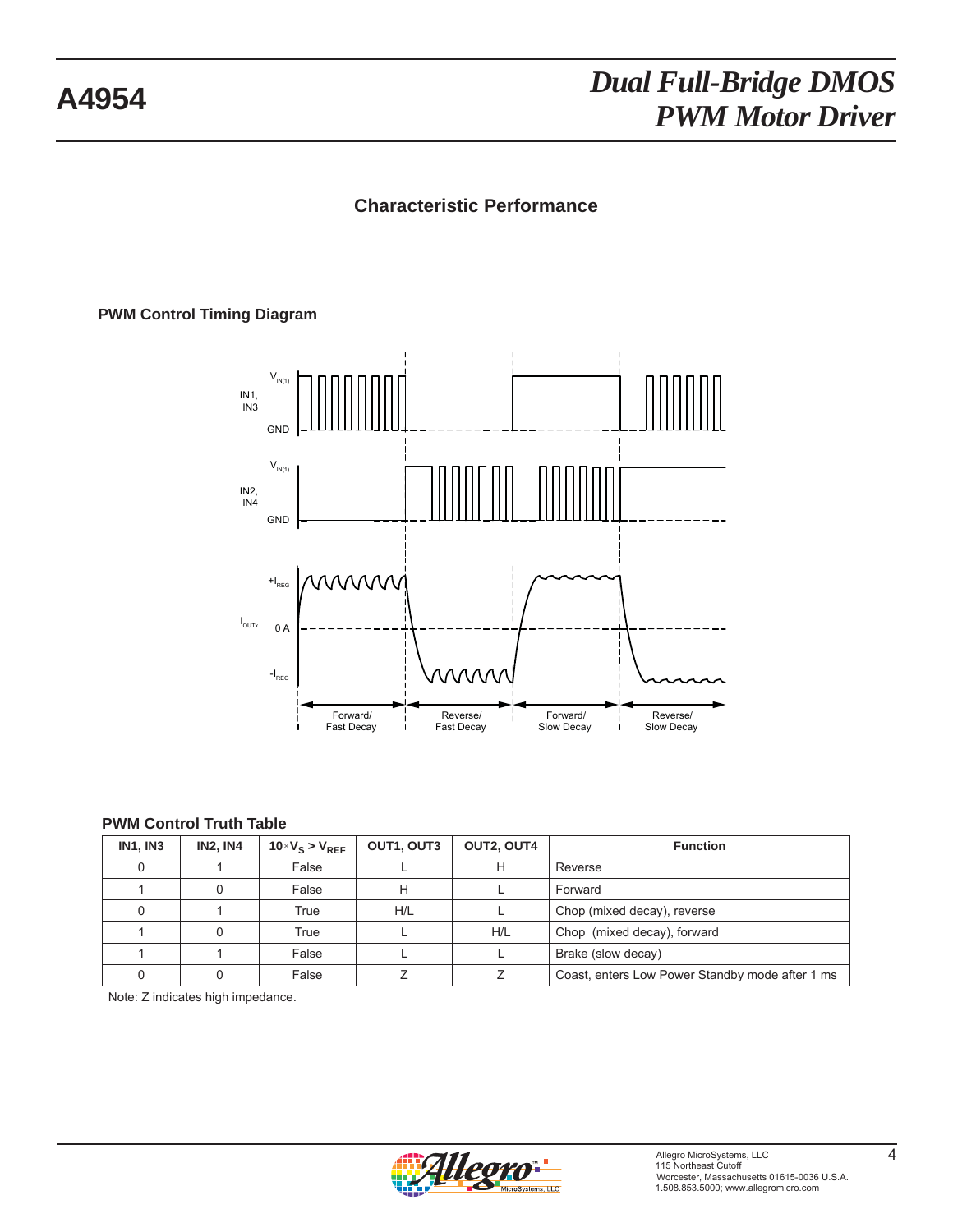## **Characteristic Performance**

### **PWM Control Timing Diagram**



#### **PWM Control Truth Table**

| <b>IN1, IN3</b> | <b>IN2. IN4</b> | $10 \times V_S > V_{REF}$ | OUT1, OUT3 | OUT2, OUT4 | <b>Function</b>                                 |
|-----------------|-----------------|---------------------------|------------|------------|-------------------------------------------------|
|                 |                 | False                     |            | н          | Reverse                                         |
|                 |                 | False                     | н          |            | Forward                                         |
|                 |                 | True                      | H/L        |            | Chop (mixed decay), reverse                     |
|                 |                 | True                      |            | H/L        | Chop (mixed decay), forward                     |
|                 |                 | False                     |            |            | Brake (slow decay)                              |
|                 |                 | False                     |            |            | Coast, enters Low Power Standby mode after 1 ms |

Note: Z indicates high impedance.

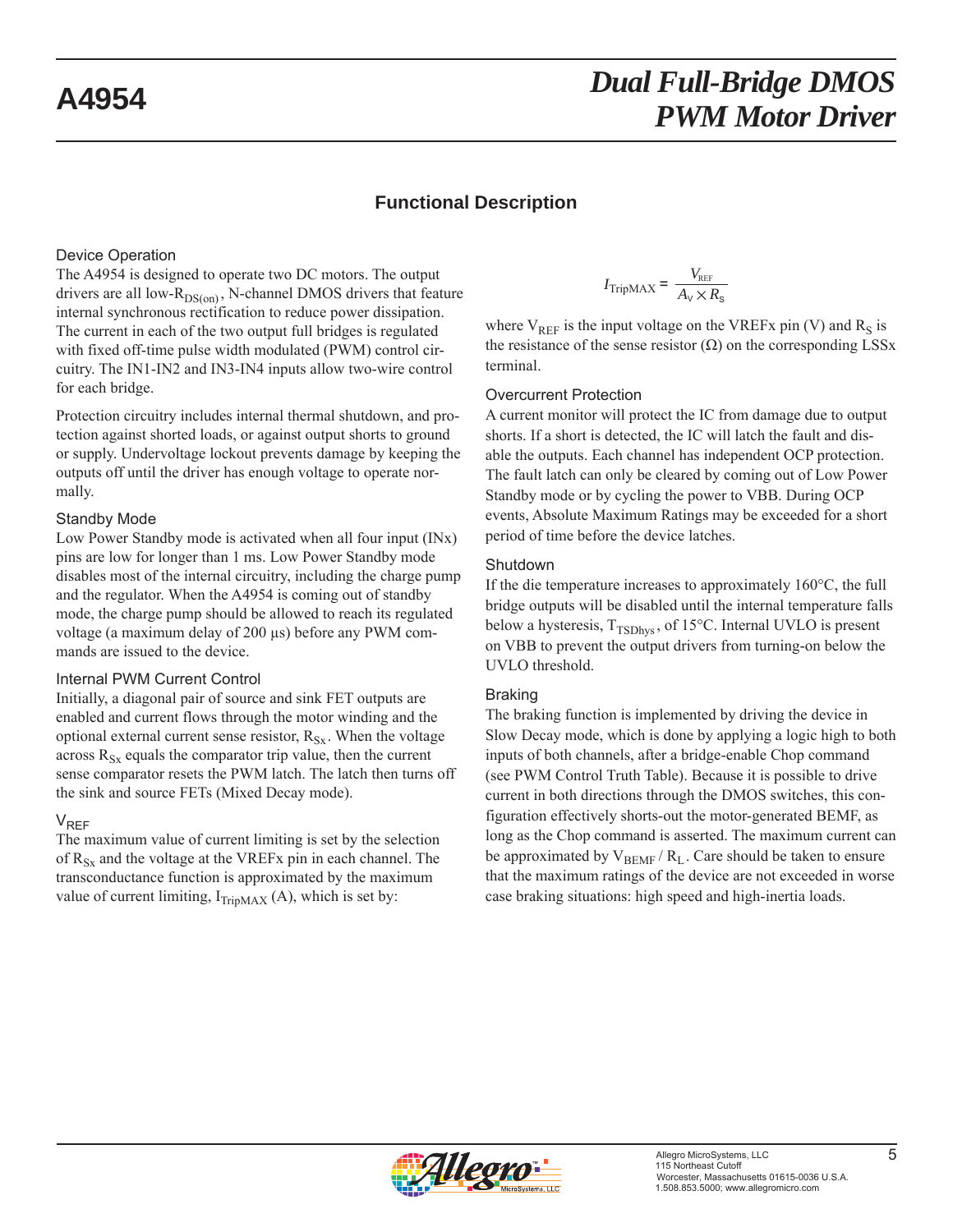### **Functional Description**

#### Device Operation

The A4954 is designed to operate two DC motors. The output drivers are all low- $R_{DS(on)}$ , N-channel DMOS drivers that feature internal synchronous rectification to reduce power dissipation. The current in each of the two output full bridges is regulated with fixed off-time pulse width modulated (PWM) control circuitry. The IN1-IN2 and IN3-IN4 inputs allow two-wire control for each bridge.

Protection circuitry includes internal thermal shutdown, and protection against shorted loads, or against output shorts to ground or supply. Undervoltage lockout prevents damage by keeping the outputs off until the driver has enough voltage to operate normally.

#### Standby Mode

Low Power Standby mode is activated when all four input (INx) pins are low for longer than 1 ms. Low Power Standby mode disables most of the internal circuitry, including the charge pump and the regulator. When the A4954 is coming out of standby mode, the charge pump should be allowed to reach its regulated voltage (a maximum delay of 200 μs) before any PWM commands are issued to the device.

#### Internal PWM Current Control

Initially, a diagonal pair of source and sink FET outputs are enabled and current flows through the motor winding and the optional external current sense resistor,  $R_{S_x}$ . When the voltage across  $R_{Sx}$  equals the comparator trip value, then the current sense comparator resets the PWM latch. The latch then turns off the sink and source FETs (Mixed Decay mode).

#### V<sub>REF</sub>

The maximum value of current limiting is set by the selection of  $R_{S_x}$  and the voltage at the VREFx pin in each channel. The transconductance function is approximated by the maximum value of current limiting,  $I_{TripMAX}(A)$ , which is set by:

$$
I_{\text{TripMAX}} = \frac{V_{\text{REF}}}{A_{\text{v}} \times R_{\text{s}}}
$$

where  $V_{REF}$  is the input voltage on the VREFx pin (V) and  $R_S$  is the resistance of the sense resistor  $(\Omega)$  on the corresponding LSSx terminal.

#### Overcurrent Protection

A current monitor will protect the IC from damage due to output shorts. If a short is detected, the IC will latch the fault and disable the outputs. Each channel has independent OCP protection. The fault latch can only be cleared by coming out of Low Power Standby mode or by cycling the power to VBB. During OCP events, Absolute Maximum Ratings may be exceeded for a short period of time before the device latches.

#### Shutdown

If the die temperature increases to approximately 160°C, the full bridge outputs will be disabled until the internal temperature falls below a hysteresis,  $T_{TSDhvs}$ , of 15 $\degree$ C. Internal UVLO is present on VBB to prevent the output drivers from turning-on below the UVLO threshold.

#### Braking

The braking function is implemented by driving the device in Slow Decay mode, which is done by applying a logic high to both inputs of both channels, after a bridge-enable Chop command (see PWM Control Truth Table). Because it is possible to drive current in both directions through the DMOS switches, this configuration effectively shorts-out the motor-generated BEMF, as long as the Chop command is asserted. The maximum current can be approximated by  $V_{BEMF} / R_L$ . Care should be taken to ensure that the maximum ratings of the device are not exceeded in worse case braking situations: high speed and high-inertia loads.

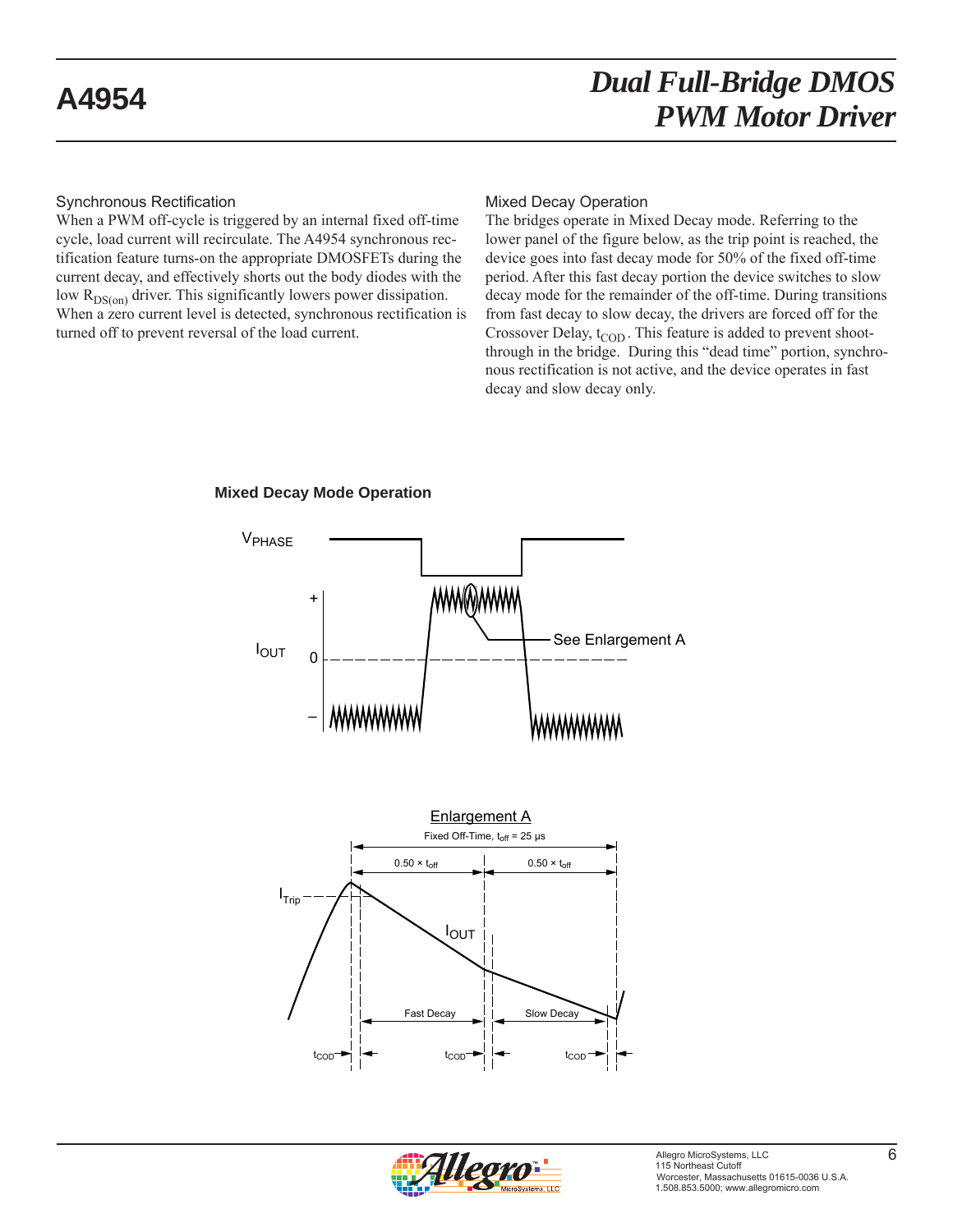### Synchronous Rectification

When a PWM off-cycle is triggered by an internal fixed off-time cycle, load current will recirculate. The A4954 synchronous rectification feature turns-on the appropriate DMOSFETs during the current decay, and effectively shorts out the body diodes with the low  $R_{DS(on)}$  driver. This significantly lowers power dissipation. When a zero current level is detected, synchronous rectification is turned off to prevent reversal of the load current.

#### Mixed Decay Operation

The bridges operate in Mixed Decay mode. Referring to the lower panel of the figure below, as the trip point is reached, the device goes into fast decay mode for 50% of the fixed off-time period. After this fast decay portion the device switches to slow decay mode for the remainder of the off-time. During transitions from fast decay to slow decay, the drivers are forced off for the Crossover Delay,  $t_{\text{COD}}$ . This feature is added to prevent shootthrough in the bridge. During this "dead time" portion, synchronous rectification is not active, and the device operates in fast decay and slow decay only.



#### **Mixed Decay Mode Operation**

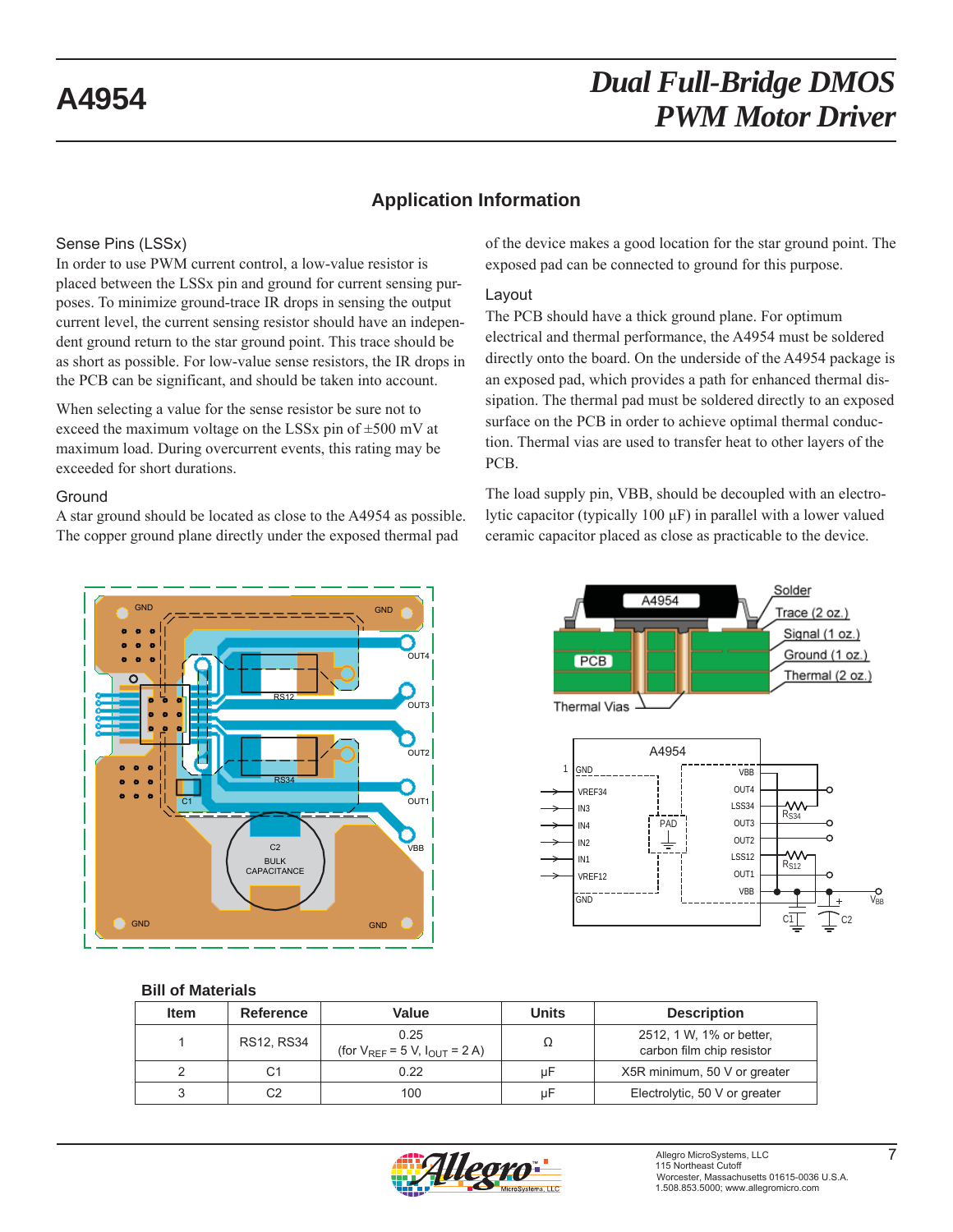### **Application Information**

#### Sense Pins (LSSx)

In order to use PWM current control, a low-value resistor is placed between the LSSx pin and ground for current sensing purposes. To minimize ground-trace IR drops in sensing the output current level, the current sensing resistor should have an independent ground return to the star ground point. This trace should be as short as possible. For low-value sense resistors, the IR drops in the PCB can be significant, and should be taken into account.

When selecting a value for the sense resistor be sure not to exceed the maximum voltage on the LSSx pin of  $\pm 500$  mV at maximum load. During overcurrent events, this rating may be exceeded for short durations.

#### **Ground**

A star ground should be located as close to the A4954 as possible. The copper ground plane directly under the exposed thermal pad



#### Layout

The PCB should have a thick ground plane. For optimum electrical and thermal performance, the A4954 must be soldered directly onto the board. On the underside of the A4954 package is an exposed pad, which provides a path for enhanced thermal dissipation. The thermal pad must be soldered directly to an exposed surface on the PCB in order to achieve optimal thermal conduction. Thermal vias are used to transfer heat to other layers of the PCB.

The load supply pin, VBB, should be decoupled with an electrolytic capacitor (typically 100 μF) in parallel with a lower valued ceramic capacitor placed as close as practicable to the device.



#### Solder A4954 Trace (2 oz.) Signal (1 oz.) Ground (1 oz.) PCB Thermal (2 oz.) Thermal Vias



#### **Bill of Materials**

| Item | Reference  | Value                                          | <b>Units</b> | <b>Description</b>                                    |  |
|------|------------|------------------------------------------------|--------------|-------------------------------------------------------|--|
|      | RS12, RS34 | 0.25<br>(for $V_{REF}$ = 5 V, $I_{OUT}$ = 2 A) |              | 2512, 1 W, 1% or better,<br>carbon film chip resistor |  |
|      | C1         | 0.22                                           | uF           | X5R minimum, 50 V or greater                          |  |
|      | C2         | 100                                            | uF           | Electrolytic, 50 V or greater                         |  |

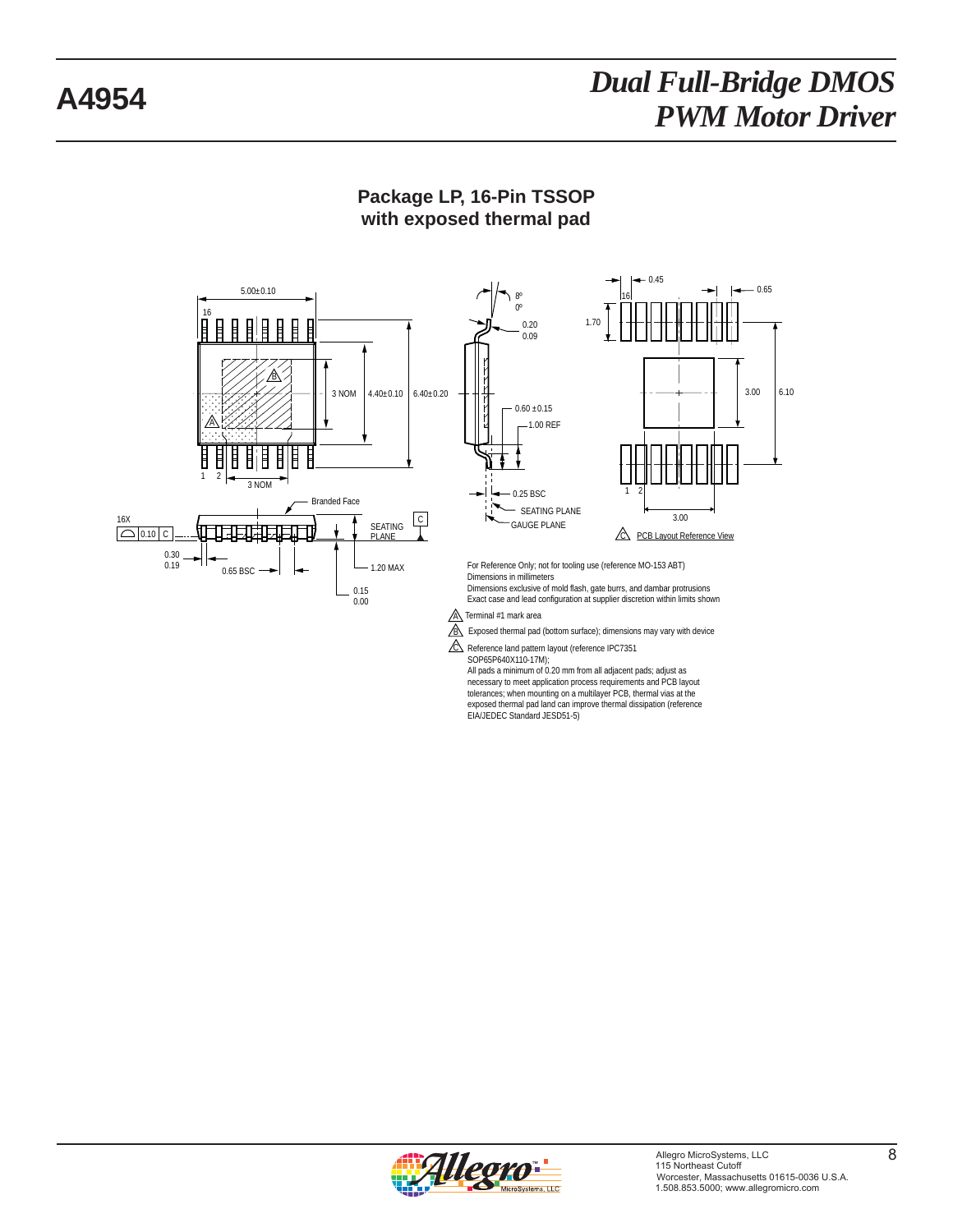

### **Package LP, 16-Pin TSSOP with exposed thermal pad**

All pads a minimum of 0.20 mm from all adjacent pads; adjust as necessary to meet application process requirements and PCB layout tolerances; when mounting on a multilayer PCB, thermal vias at the exposed thermal pad land can improve thermal dissipation (reference EIA/JEDEC Standard JESD51-5)